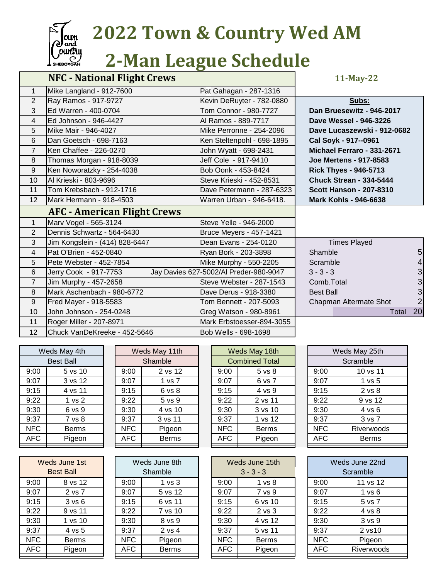

## **Zoun** 2022 Town & Country Wed AM<br>Country 2-Man League Schedule

## *L***<sup>Cutta</sup> 2-Man League Schedule**

| Mike Langland - 912-7600<br>$\mathbf{1}$<br>Pat Gahagan - 287-1316<br>$\overline{2}$<br>Ray Ramos - 917-9727<br>Kevin DeRuyter - 782-0880<br>Subs:<br>3<br>Ed Warren - 400-0704<br>Tom Connor - 980-7727<br>Dan Bruesewitz - 946-2017<br>Ed Johnson - 946-4427<br>Al Ramos - 889-7717<br>4<br>Dave Wessel - 946-3226<br>5<br>Mike Mair - 946-4027<br>Mike Perronne - 254-2096<br>Dave Lucaszewski - 912-0682 |                |
|--------------------------------------------------------------------------------------------------------------------------------------------------------------------------------------------------------------------------------------------------------------------------------------------------------------------------------------------------------------------------------------------------------------|----------------|
|                                                                                                                                                                                                                                                                                                                                                                                                              |                |
|                                                                                                                                                                                                                                                                                                                                                                                                              |                |
|                                                                                                                                                                                                                                                                                                                                                                                                              |                |
|                                                                                                                                                                                                                                                                                                                                                                                                              |                |
|                                                                                                                                                                                                                                                                                                                                                                                                              |                |
| 6<br>Dan Goetsch - 698-7163<br>Ken Steltenpohl - 698-1895<br>Cal Soyk - 917--0961                                                                                                                                                                                                                                                                                                                            |                |
| $\overline{7}$<br>Ken Chaffee - 226-0270<br>John Wyatt - 698-2431<br>Michael Ferraro - 331-2671                                                                                                                                                                                                                                                                                                              |                |
| Jeff Cole - 917-9410<br>Thomas Morgan - 918-8039<br><b>Joe Mertens - 917-8583</b><br>8                                                                                                                                                                                                                                                                                                                       |                |
| 9<br>Ken Noworatzky - 254-4038<br>Bob Oonk - 453-8424<br><b>Rick Thyes - 946-5713</b>                                                                                                                                                                                                                                                                                                                        |                |
| Al Krieski - 803-9696<br>10<br>Steve Krieski - 452-8531<br><b>Chuck Strean - 334-5444</b>                                                                                                                                                                                                                                                                                                                    |                |
| 11<br>Tom Krebsbach - 912-1716<br>Dave Petermann - 287-6323<br><b>Scott Hanson - 207-8310</b>                                                                                                                                                                                                                                                                                                                |                |
| 12<br>Mark Hermann - 918-4503<br>Warren Urban - 946-6418.<br><b>Mark Kohls - 946-6638</b>                                                                                                                                                                                                                                                                                                                    |                |
| <b>AFC - American Flight Crews</b>                                                                                                                                                                                                                                                                                                                                                                           |                |
| Marv Vogel - 565-3124<br>$\mathbf{1}$<br>Steve Yelle - 946-2000                                                                                                                                                                                                                                                                                                                                              |                |
| $\overline{2}$<br>Dennis Schwartz - 564-6430<br>Bruce Meyers - 457-1421                                                                                                                                                                                                                                                                                                                                      |                |
| 3<br>Jim Kongslein - (414) 828-6447<br>Dean Evans - 254-0120<br><b>Times Played</b>                                                                                                                                                                                                                                                                                                                          |                |
| Pat O'Brien - 452-0840<br>Shamble<br>$\overline{4}$<br>Ryan Bork - 203-3898                                                                                                                                                                                                                                                                                                                                  | 5              |
| 5<br>Pete Webster - 452-7854<br>Mike Murphy - 550-2205<br>Scramble                                                                                                                                                                                                                                                                                                                                           | 4              |
| Jay Davies 627-5002/Al Preder-980-9047<br>$3 - 3 - 3$<br>6<br>Jerry Cook - 917-7753                                                                                                                                                                                                                                                                                                                          | 3              |
| $\overline{7}$<br>Jim Murphy - 457-2658<br>Steve Webster - 287-1543<br>Comb. Total                                                                                                                                                                                                                                                                                                                           | 3              |
| Mark Aschenbach - 980-6772<br>8<br>Dave Derus - 918-3380<br><b>Best Ball</b>                                                                                                                                                                                                                                                                                                                                 | 3              |
| 9<br>Fred Mayer - 918-5583<br>Tom Bennett - 207-5093<br>Chapman Altermate Shot                                                                                                                                                                                                                                                                                                                               | $\overline{2}$ |
| 10<br>John Johnson - 254-0248<br>Greg Watson - 980-8961                                                                                                                                                                                                                                                                                                                                                      | 20<br>Total    |
| Roger Miller - 207-8971<br>11<br>Mark Erbstoesser-894-3055                                                                                                                                                                                                                                                                                                                                                   |                |
| 12<br>Chuck VanDeKreeke - 452-5646<br>Bob Wells - 698-1698                                                                                                                                                                                                                                                                                                                                                   |                |

| Weds May 4th |                   |  |  |  |  |  |  |
|--------------|-------------------|--|--|--|--|--|--|
| Best Ball    |                   |  |  |  |  |  |  |
| 9:00         | 5 vs 10           |  |  |  |  |  |  |
| 9:07         | 3 vs 12           |  |  |  |  |  |  |
| 9:15         | 4 vs 11           |  |  |  |  |  |  |
| 9:22         | $1 \text{ vs } 2$ |  |  |  |  |  |  |
| 9:30         | 6 vs 9            |  |  |  |  |  |  |
| 9:37         | 7 vs 8            |  |  |  |  |  |  |
| NFC<br>Berms |                   |  |  |  |  |  |  |
| AFC          | Pigeon            |  |  |  |  |  |  |
|              |                   |  |  |  |  |  |  |

| Weds May 11th |            |  |  |  |  |  |  |
|---------------|------------|--|--|--|--|--|--|
| Shamble       |            |  |  |  |  |  |  |
| 9:00          | 2 vs 12    |  |  |  |  |  |  |
| 9:07          | 1 vs 7     |  |  |  |  |  |  |
| 9:15          | 6 vs 8     |  |  |  |  |  |  |
| 9:22          | $5$ vs $9$ |  |  |  |  |  |  |
| 9:30          | 4 vs 10    |  |  |  |  |  |  |
| 9:37          | 3 vs 11    |  |  |  |  |  |  |
| NFC           | Pigeon     |  |  |  |  |  |  |
| <b>AFC</b>    | Berms      |  |  |  |  |  |  |
|               |            |  |  |  |  |  |  |

| Weds May 4th     |              | Weds May 11th |            |              | Weds May 18th |            |                       |  | Weds May 25th |              |
|------------------|--------------|---------------|------------|--------------|---------------|------------|-----------------------|--|---------------|--------------|
| <b>Best Ball</b> |              |               |            | Shamble      |               |            | <b>Combined Total</b> |  |               | Scramble     |
| 9:00             | 5 vs 10      |               | 9:00       | 2 vs 12      |               | 9:00       | 5 <sub>vs</sub> 8     |  | 9:00          | 10 vs 11     |
| 9:07             | 3 vs 12      |               | 9:07       | 1 vs 7       |               | 9:07       | 6 vs 7                |  | 9:07          | 1 vs 5       |
| 9:15             | 4 vs 11      |               | 9:15       | 6 vs 8       |               | 9:15       | 4 vs 9                |  | 9:15          | 2 vs 8       |
| 9:22             | 1 vs 2       |               | 9:22       | 5 vs 9       |               | 9:22       | 2 vs 11               |  | 9:22          | 9 vs 12      |
| 9:30             | 6 vs 9       |               | 9:30       | 4 vs 10      |               | 9:30       | 3 vs 10               |  | 9:30          | 4 vs 6       |
| 9:37             | 7 vs 8       |               | 9:37       | 3 vs 11      |               | 9:37       | 1 vs 12               |  | 9:37          | 3 vs 7       |
| NFC.             | <b>Berms</b> |               | <b>NFC</b> | Pigeon       |               | <b>NFC</b> | <b>Berms</b>          |  | <b>NFC</b>    | Riverwood    |
| <b>AFC</b>       | Pigeon       |               | <b>AFC</b> | <b>Berms</b> |               | <b>AFC</b> | Pigeon                |  | <b>AFC</b>    | <b>Berms</b> |
|                  |              |               |            |              |               |            |                       |  |               |              |

| Weds May 4th     |                   | Weds May 11th |              | Weds May 18th |                       |                   | Weds May 25th |            |                   |  |
|------------------|-------------------|---------------|--------------|---------------|-----------------------|-------------------|---------------|------------|-------------------|--|
| <b>Best Ball</b> |                   | Shamble       |              |               | <b>Combined Total</b> |                   |               | Scramble   |                   |  |
| 9:00             | 5 vs 10           | 9:00          | 2 vs 12      |               | 9:00                  | 5 <sub>vs</sub> 8 |               | 9:00       | 10 vs 11          |  |
| 9:07             | 3 vs 12           | 9:07          | 1 vs 7       |               | 9:07                  | 6 vs 7            |               | 9:07       | 1 vs $5$          |  |
| 9:15             | 4 vs 11           | 9:15          | 6 vs 8       |               | 9:15                  | 4 vs 9            |               | 9:15       | $2$ vs $8$        |  |
| 9:22             | 1 <sub>vs</sub> 2 | 9:22          | 5 vs 9       |               | 9:22                  | 2 vs 11           |               | 9:22       | 9 vs 12           |  |
| 9:30             | 6 vs 9            | 9:30          | 4 vs 10      |               | 9:30                  | 3 vs 10           |               | 9:30       | $4 \text{ vs } 6$ |  |
| 9:37             | 7 vs 8            | 9:37          | 3 vs 11      |               | 9:37                  | 1 vs 12           |               | 9:37       | 3 vs 7            |  |
| <b>NFC</b>       | <b>Berms</b>      | <b>NFC</b>    | Pigeon       |               | <b>NFC</b>            | <b>Berms</b>      |               | <b>NFC</b> | Riverwoods        |  |
| <b>AFC</b>       | Pigeon            | <b>AFC</b>    | <b>Berms</b> |               | <b>AFC</b>            | Pigeon            |               | <b>AFC</b> | <b>Berms</b>      |  |
|                  |                   |               |              |               |                       |                   |               |            |                   |  |

| Weds June 1st<br>Best Ball |                   |  |  |  |  |  |  |
|----------------------------|-------------------|--|--|--|--|--|--|
| 9:00                       | 8 vs 12           |  |  |  |  |  |  |
| 9:07                       | 2 vs 7            |  |  |  |  |  |  |
| 9:15                       | $3 \text{ vs } 6$ |  |  |  |  |  |  |
| 9:22                       | 9 vs 11           |  |  |  |  |  |  |
| 9:30                       | 1 vs 10           |  |  |  |  |  |  |
| 9:37                       | 4 vs 5            |  |  |  |  |  |  |
| NFC                        | Berms             |  |  |  |  |  |  |
| AFC                        | Pigeon            |  |  |  |  |  |  |

| Weds June 8th |                   |  |  |  |  |  |  |  |
|---------------|-------------------|--|--|--|--|--|--|--|
| Shamble       |                   |  |  |  |  |  |  |  |
| 9:00          | 1 <sub>vs</sub> 3 |  |  |  |  |  |  |  |
| 9:07          | 5 vs 12           |  |  |  |  |  |  |  |
| 9:15          | 6 vs 11           |  |  |  |  |  |  |  |
| 9:22          | 7 vs 10           |  |  |  |  |  |  |  |
| 9:30          | 8 vs 9            |  |  |  |  |  |  |  |
| 9:37          | 2 vs 4            |  |  |  |  |  |  |  |
| <b>NFC</b>    | Pigeon            |  |  |  |  |  |  |  |
| AFC           | Berms             |  |  |  |  |  |  |  |
|               |                   |  |  |  |  |  |  |  |

| Weds June 1st<br><b>Best Ball</b> |              | Weds June 8th<br>Shamble |                   |  |            | Weds June 15th<br>$3 - 3 - 3$ | Weds June 22nd<br>Scramble |            |  |
|-----------------------------------|--------------|--------------------------|-------------------|--|------------|-------------------------------|----------------------------|------------|--|
| 9:00                              | 8 vs 12      | 9:00                     | 1 <sub>vs</sub> 3 |  | 9:00       | 1 <sub>vs</sub> 8             | 9:00                       | 11 vs 12   |  |
| 9:07                              | 2 vs 7       | 9:07                     | 5 vs 12           |  | 9:07       | 7 vs 9                        | 9:07                       | 1 vs 6     |  |
| 9:15                              | 3 v s 6      | 9:15                     | 6 vs 11           |  | 9:15       | 6 vs 10                       | 9:15                       | 5 vs 7     |  |
| 9:22                              | 9 vs 11      | 9:22                     | 7 vs 10           |  | 9:22       | $2$ vs $3$                    | 9:22                       | 4 vs 8     |  |
| 9:30                              | 1 vs 10      | 9:30                     | 8 vs 9            |  | 9:30       | 4 vs 12                       | 9:30                       | 3 vs 9     |  |
| 9:37                              | 4 vs 5       | 9:37                     | 2 vs 4            |  | 9:37       | 5 vs 11                       | 9:37                       | 2 vs10     |  |
| NFC                               | <b>Berms</b> | <b>NFC</b>               | Pigeon            |  | <b>NFC</b> | <b>Berms</b>                  | <b>NFC</b>                 | Pigeon     |  |
| <b>AFC</b>                        | Pigeon       | AFC.                     | <b>Berms</b>      |  | AFC        | Pigeon                        | <b>AFC</b>                 | Riverwoods |  |
|                                   |              |                          |                   |  |            |                               |                            |            |  |

| Is June 15th<br>$3 - 3 - 3$ | Weds June 22nd<br>Scramble |                   |  |  |  |  |  |  |  |
|-----------------------------|----------------------------|-------------------|--|--|--|--|--|--|--|
| 1 <sub>vs</sub> 8           | 9:00                       | 11 vs 12          |  |  |  |  |  |  |  |
| 7 vs 9                      | 9:07                       | 1 v s 6           |  |  |  |  |  |  |  |
| 6 vs 10                     | 9:15                       | 5 vs 7            |  |  |  |  |  |  |  |
| $2$ vs $3$                  | 9:22<br>4 vs 8             |                   |  |  |  |  |  |  |  |
| 4 vs 12                     | 9:30                       | 3 <sub>vs</sub> 9 |  |  |  |  |  |  |  |
| 5 vs 11                     | 9:37                       | 2 vs10            |  |  |  |  |  |  |  |
| <b>Berms</b>                | <b>NFC</b>                 | Pigeon            |  |  |  |  |  |  |  |
| Pigeon                      | AFC                        | Riverwoods        |  |  |  |  |  |  |  |
|                             |                            |                   |  |  |  |  |  |  |  |